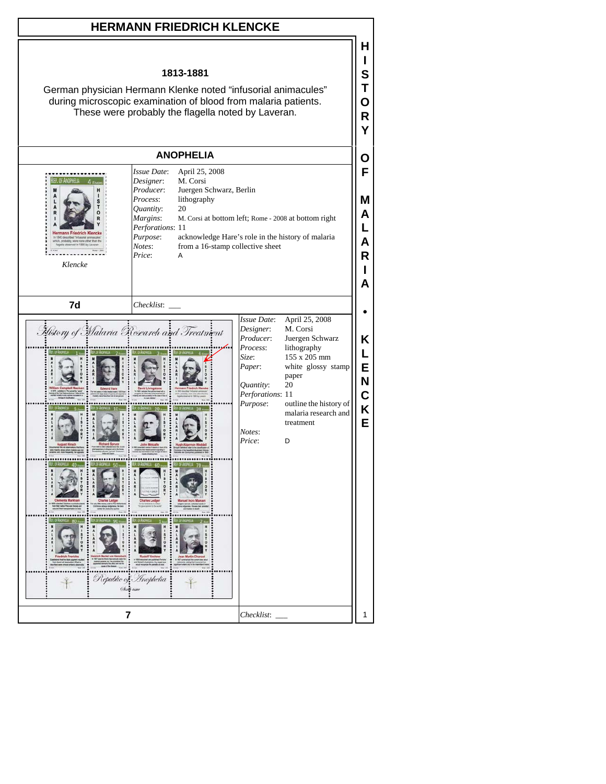